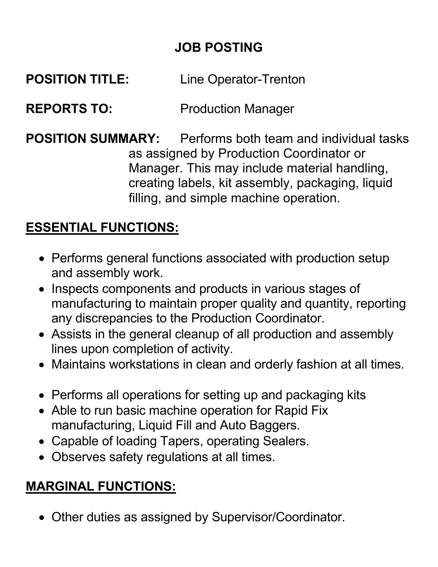### **JOB POSTING**

#### **POSITION TITLE:** Line Operator-Trenton

#### **REPORTS TO:** Production Manager

**POSITION SUMMARY:** Performs both team and individual tasks as assigned by Production Coordinator or Manager. This may include material handling, creating labels, kit assembly, packaging, liquid filling, and simple machine operation.

#### **ESSENTIAL FUNCTIONS:**

- Performs general functions associated with production setup and assembly work.
- Inspects components and products in various stages of manufacturing to maintain proper quality and quantity, reporting any discrepancies to the Production Coordinator.
- Assists in the general cleanup of all production and assembly lines upon completion of activity.
- Maintains workstations in clean and orderly fashion at all times.
- Performs all operations for setting up and packaging kits
- Able to run basic machine operation for Rapid Fix manufacturing, Liquid Fill and Auto Baggers.
- Capable of loading Tapers, operating Sealers.
- Observes safety regulations at all times.

### **MARGINAL FUNCTIONS:**

• Other duties as assigned by Supervisor/Coordinator.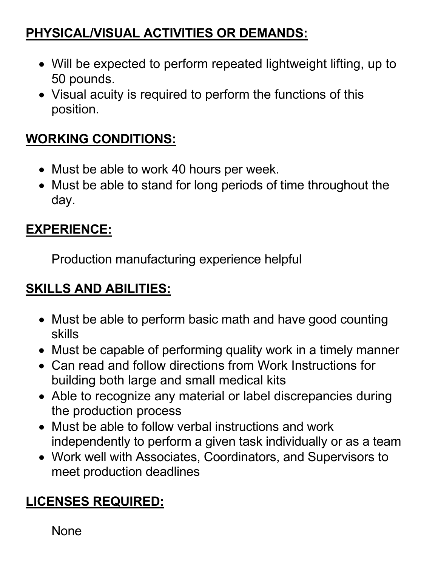## **PHYSICAL/VISUAL ACTIVITIES OR DEMANDS:**

- Will be expected to perform repeated lightweight lifting, up to 50 pounds.
- Visual acuity is required to perform the functions of this position.

#### **WORKING CONDITIONS:**

- Must be able to work 40 hours per week.
- Must be able to stand for long periods of time throughout the day.

# **EXPERIENCE:**

Production manufacturing experience helpful

## **SKILLS AND ABILITIES:**

- Must be able to perform basic math and have good counting skills
- Must be capable of performing quality work in a timely manner
- Can read and follow directions from Work Instructions for building both large and small medical kits
- Able to recognize any material or label discrepancies during the production process
- Must be able to follow verbal instructions and work independently to perform a given task individually or as a team
- Work well with Associates, Coordinators, and Supervisors to meet production deadlines

# **LICENSES REQUIRED:**

None